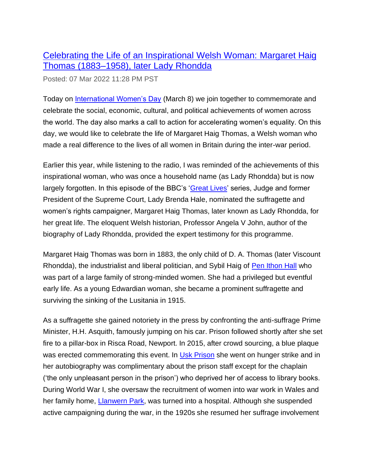## [Celebrating the Life of an Inspirational Welsh Woman: Margaret Haig](https://rcahmw.gov.uk/celebrating-the-life-of-an-inspirational-welsh-woman-margaret-haig-thomas-1883-1958-later-lady-rhondda/?utm_source=feedburner&utm_medium=email)  [Thomas \(1883–1958\), later Lady Rhondda](https://rcahmw.gov.uk/celebrating-the-life-of-an-inspirational-welsh-woman-margaret-haig-thomas-1883-1958-later-lady-rhondda/?utm_source=feedburner&utm_medium=email)

Posted: 07 Mar 2022 11:28 PM PST

Today on [International Women's Day](https://www.internationalwomensday.com/) (March 8) we join together to commemorate and celebrate the social, economic, cultural, and political achievements of women across the world. The day also marks a call to action for accelerating women's equality. On this day, we would like to celebrate the life of Margaret Haig Thomas, a Welsh woman who made a real difference to the lives of all women in Britain during the inter-war period.

Earlier this year, while listening to the radio, I was reminded of the achievements of this inspirational woman, who was once a household name (as Lady Rhondda) but is now largely forgotten. In this episode of the BBC's ['Great Lives'](https://www.bbc.co.uk/sounds/play/m0013963) series, Judge and former President of the Supreme Court, Lady Brenda Hale, nominated the suffragette and women's rights campaigner, Margaret Haig Thomas, later known as Lady Rhondda, for her great life. The eloquent Welsh historian, Professor Angela V John, author of the biography of Lady Rhondda, provided the expert testimony for this programme.

Margaret Haig Thomas was born in 1883, the only child of D. A. Thomas (later Viscount Rhondda), the industrialist and liberal politician, and Sybil Haig of [Pen Ithon Hall](https://coflein.gov.uk/en/site/30900/) who was part of a large family of strong-minded women. She had a privileged but eventful early life. As a young Edwardian woman, she became a prominent suffragette and surviving the sinking of the Lusitania in 1915.

As a suffragette she gained notoriety in the press by confronting the anti-suffrage Prime Minister, H.H. Asquith, famously jumping on his car. Prison followed shortly after she set fire to a pillar-box in Risca Road, Newport. In 2015, after crowd sourcing, a blue plaque was erected commemorating this event. In [Usk Prison](https://coflein.gov.uk/en/site/32014/) she went on hunger strike and in her autobiography was complimentary about the prison staff except for the chaplain ('the only unpleasant person in the prison') who deprived her of access to library books. During World War I, she oversaw the recruitment of women into war work in Wales and her family home, [Llanwern Park,](https://coflein.gov.uk/en/site/45098/) was turned into a hospital. Although she suspended active campaigning during the war, in the 1920s she resumed her suffrage involvement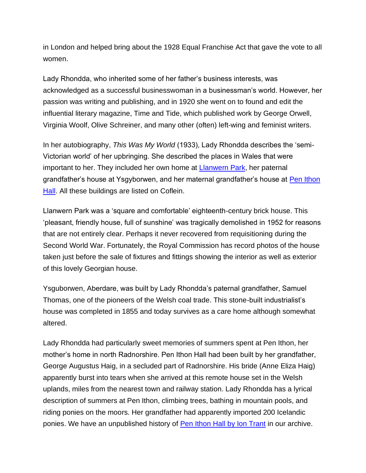in London and helped bring about the 1928 Equal Franchise Act that gave the vote to all women.

Lady Rhondda, who inherited some of her father's business interests, was acknowledged as a successful businesswoman in a businessman's world. However, her passion was writing and publishing, and in 1920 she went on to found and edit the influential literary magazine, Time and Tide, which published work by George Orwell, Virginia Woolf, Olive Schreiner, and many other (often) left-wing and feminist writers.

In her autobiography, *This Was My World* (1933), Lady Rhondda describes the 'semi-Victorian world' of her upbringing. She described the places in Wales that were important to her. They included her own home at [Llanwern Park,](https://coflein.gov.uk/en/site/45098/) her paternal grandfather's house at Ysgyborwen, and her maternal grandfather's house at [Pen Ithon](https://coflein.gov.uk/en/site/30900/)  [Hall.](https://coflein.gov.uk/en/site/30900/) All these buildings are listed on Coflein.

Llanwern Park was a 'square and comfortable' eighteenth-century brick house. This 'pleasant, friendly house, full of sunshine' was tragically demolished in 1952 for reasons that are not entirely clear. Perhaps it never recovered from requisitioning during the Second World War. Fortunately, the Royal Commission has record photos of the house taken just before the sale of fixtures and fittings showing the interior as well as exterior of this lovely Georgian house.

Ysguborwen, Aberdare, was built by Lady Rhondda's paternal grandfather, Samuel Thomas, one of the pioneers of the Welsh coal trade. This stone-built industrialist's house was completed in 1855 and today survives as a care home although somewhat altered.

Lady Rhondda had particularly sweet memories of summers spent at Pen Ithon, her mother's home in north Radnorshire. Pen Ithon Hall had been built by her grandfather, George Augustus Haig, in a secluded part of Radnorshire. His bride (Anne Eliza Haig) apparently burst into tears when she arrived at this remote house set in the Welsh uplands, miles from the nearest town and railway station. Lady Rhondda has a lyrical description of summers at Pen Ithon, climbing trees, bathing in mountain pools, and riding ponies on the moors. Her grandfather had apparently imported 200 Icelandic ponies. We have an unpublished history of [Pen Ithon Hall by Ion Trant](https://coflein.gov.uk/en/archive/6450739?type=archive&term=Pen%20ithon&pg=2) in our archive.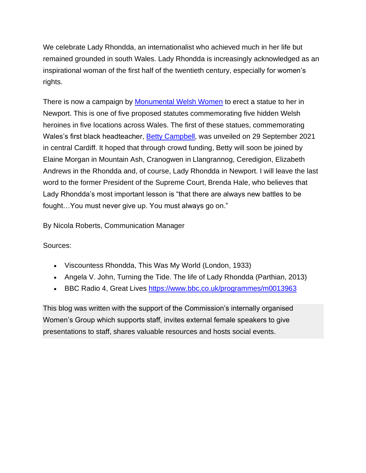We celebrate Lady Rhondda, an internationalist who achieved much in her life but remained grounded in south Wales. Lady Rhondda is increasingly acknowledged as an inspirational woman of the first half of the twentieth century, especially for women's rights.

There is now a campaign by [Monumental Welsh Women](https://monumentalwelshwomen.com/) to erect a statue to her in Newport. This is one of five proposed statutes commemorating five hidden Welsh heroines in five locations across Wales. The first of these statues, commemorating Wales's first black headteacher, [Betty Campbell,](https://coflein.gov.uk/en/site/545020/) was unveiled on 29 September 2021 in central Cardiff. It hoped that through crowd funding, Betty will soon be joined by Elaine Morgan in Mountain Ash, Cranogwen in Llangrannog, Ceredigion, Elizabeth Andrews in the Rhondda and, of course, Lady Rhondda in Newport. I will leave the last word to the former President of the Supreme Court, Brenda Hale, who believes that Lady Rhondda's most important lesson is "that there are always new battles to be fought…You must never give up. You must always go on."

By Nicola Roberts, Communication Manager

Sources:

- Viscountess Rhondda, This Was My World (London, 1933)
- Angela V. John, Turning the Tide. The life of Lady Rhondda (Parthian, 2013)
- BBC Radio 4, Great Lives<https://www.bbc.co.uk/programmes/m0013963>

This blog was written with the support of the Commission's internally organised Women's Group which supports staff, invites external female speakers to give presentations to staff, shares valuable resources and hosts social events.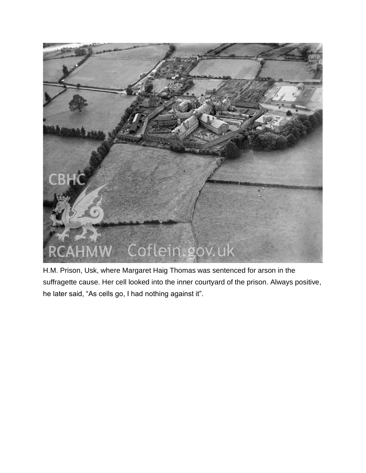

H.M. Prison, Usk, where Margaret Haig Thomas was sentenced for arson in the suffragette cause. Her cell looked into the inner courtyard of the prison. Always positive, he later said, "As cells go, I had nothing against it".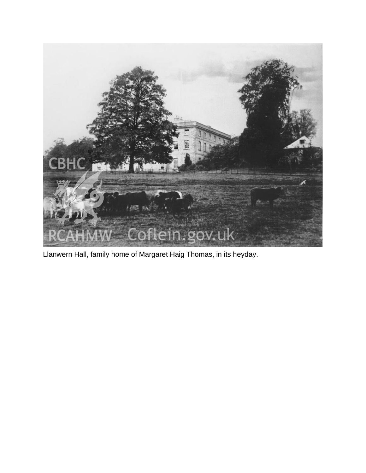

Llanwern Hall, family home of Margaret Haig Thomas, in its heyday.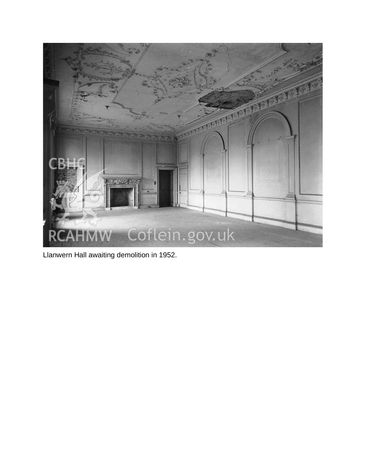

Llanwern Hall awaiting demolition in 1952.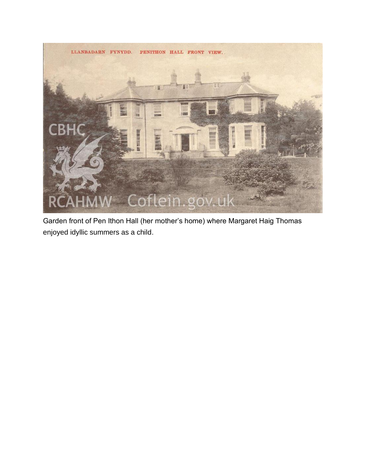

Garden front of Pen Ithon Hall (her mother's home) where Margaret Haig Thomas enjoyed idyllic summers as a child.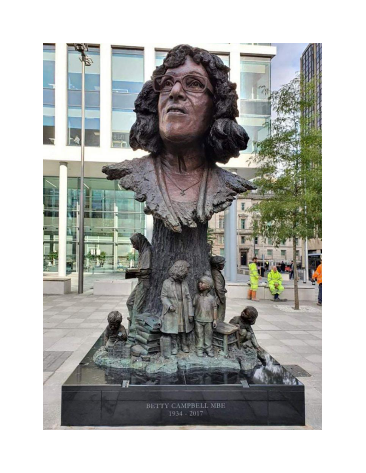